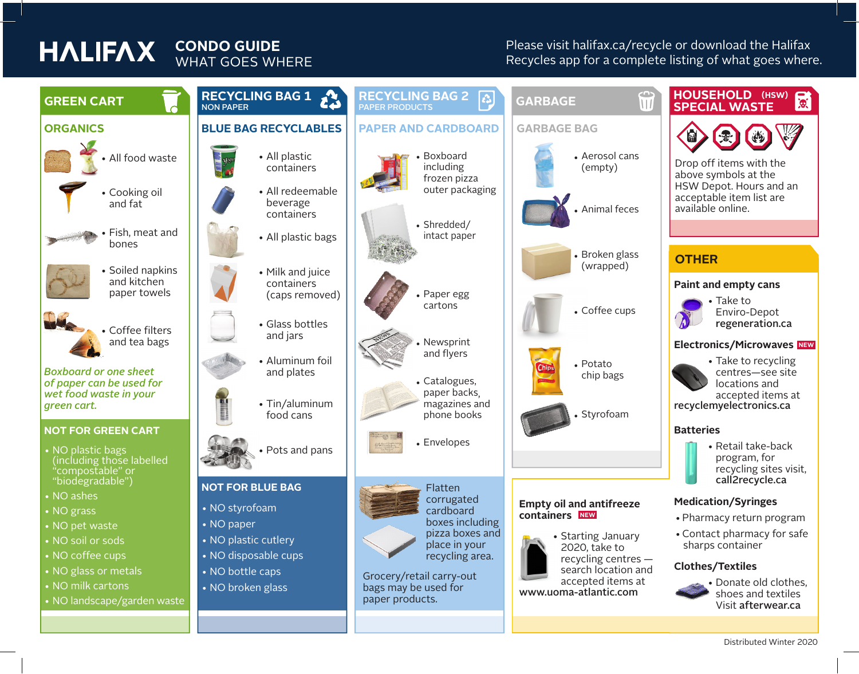# **HALIFAX**

### **CONDO GUIDE** WHAT GOES WHERE

Please visit halifax.ca/recycle or download the Halifax Recycles app for a complete listing of what goes where.